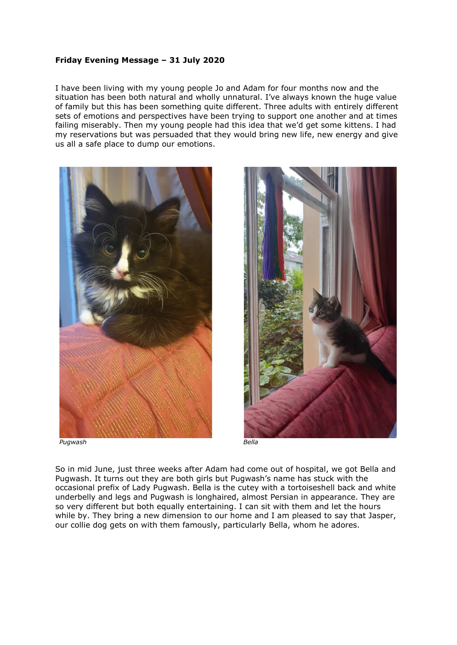## **Friday Evening Message – 31 July 2020**

I have been living with my young people Jo and Adam for four months now and the situation has been both natural and wholly unnatural. I've always known the huge value of family but this has been something quite different. Three adults with entirely different sets of emotions and perspectives have been trying to support one another and at times failing miserably. Then my young people had this idea that we'd get some kittens. I had my reservations but was persuaded that they would bring new life, new energy and give us all a safe place to dump our emotions.





So in mid June, just three weeks after Adam had come out of hospital, we got Bella and Pugwash. It turns out they are both girls but Pugwash's name has stuck with the occasional prefix of Lady Pugwash. Bella is the cutey with a tortoiseshell back and white underbelly and legs and Pugwash is longhaired, almost Persian in appearance. They are so very different but both equally entertaining. I can sit with them and let the hours while by. They bring a new dimension to our home and I am pleased to say that Jasper, our collie dog gets on with them famously, particularly Bella, whom he adores.